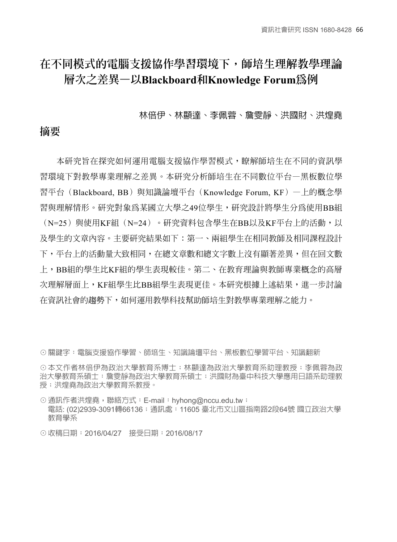# **在不同模式的電腦支援協作學習環境下,師培生理解教學理論 層次之差異—以Blackboard和Knowledge Forum為例**

#### 林倍伊、林顯達、李佩蓉、詹雯靜、洪國財、洪煌堯

### **摘要**

本研究旨在探究如何運用電腦支援協作學習模式,瞭解師培生在不同的資訊學 習環境下對教學專業理解之差異。本研究分析師培生在不同數位平台—黑板數位學 習平台(Blackboard, BB)與知識論壇平台(Knowledge Forum, KF)一上的概念學 習與理解情形。研究對象為某國立大學之49位學生,研究設計將學生分為使用BB組 (N=25)與使用KF組(N=24)。研究資料包含學生在BB以及KF平台上的活動,以 及學生的文章內容。主要研究結果如下:第一、兩組學生在相同教師及相同課程設計 下,平台上的活動量大致相同,在總文章數和總文字數上沒有顯著差異,但在回文數 上,BB組的學生比KF組的學生表現較佳。第二、在教育理論與教師專業概念的高層 次理解層面上,KF組學生比BB組學生表現更佳。本研究根據上述結果,進一步討論 在資訊社會的趨勢下,如何運用教學科技幫助師培生對教學專業理解之能力。

☉關鍵字:電腦支援協作學習、師培生、知識論壇平台、黑板數位學習平台、知識翻新

☉本文作者林倍伊為政治大學教育系博士;林顯達為政治大學教育系助理教授;李佩蓉為政 治大學教育系碩士:詹雯靜為政治大學教育系碩士;洪國財為臺中科技大學應用日語系助理教 授;洪煌堯為政治大學教育系教授。

☉通訊作者洪煌堯,聯絡方式:E-mail:hyhong@nccu.edu.tw; 電話: (02)2939-3091轉66136;通訊處: 11605 臺北市文川區指南路2段64號 國立政治大學 教育學系

☉收稿日期:2016/04/27 接受日期:2016/08/17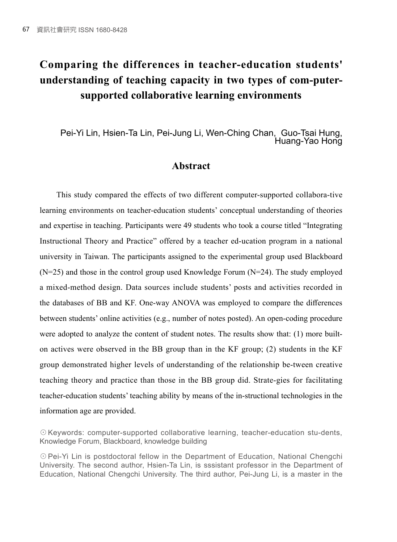# **Comparing the differences in teacher-education students' understanding of teaching capacity in two types of com-putersupported collaborative learning environments**

Pei-Yi Lin, Hsien-Ta Lin, Pei-Jung Li, Wen-Ching Chan, Guo-Tsai Hung, Huang-Yao Hong

### **Abstract**

This study compared the effects of two different computer-supported collabora-tive learning environments on teacher-education students' conceptual understanding of theories and expertise in teaching. Participants were 49 students who took a course titled "Integrating Instructional Theory and Practice" offered by a teacher ed-ucation program in a national university in Taiwan. The participants assigned to the experimental group used Blackboard  $(N=25)$  and those in the control group used Knowledge Forum  $(N=24)$ . The study employed a mixed-method design. Data sources include students' posts and activities recorded in the databases of BB and KF. One-way ANOVA was employed to compare the differences between students' online activities (e.g., number of notes posted). An open-coding procedure were adopted to analyze the content of student notes. The results show that: (1) more builton actives were observed in the BB group than in the KF group; (2) students in the KF group demonstrated higher levels of understanding of the relationship be-tween creative teaching theory and practice than those in the BB group did. Strate-gies for facilitating teacher-education students' teaching ability by means of the in-structional technologies in the information age are provided.

☉Keywords: computer-supported collaborative learning, teacher-education stu-dents, Knowledge Forum, Blackboard, knowledge building

☉Pei-Yi Lin is postdoctoral fellow in the Department of Education, National Chengchi University. The second author, Hsien-Ta Lin, is sssistant professor in the Department of Education, National Chengchi University. The third author, Pei-Jung Li, is a master in the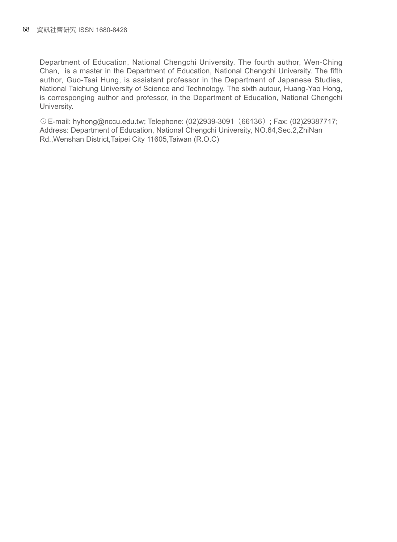Department of Education, National Chengchi University. The fourth author, Wen-Ching Chan, is a master in the Department of Education, National Chengchi University. The fifth author, Guo-Tsai Hung, is assistant professor in the Department of Japanese Studies, National Taichung University of Science and Technology. The sixth autour, Huang-Yao Hong, is corresponging author and professor, in the Department of Education, National Chengchi University.

☉E-mail: hyhong@nccu.edu.tw; Telephone: (02)2939-3091(66136); Fax: (02)29387717; Address: Department of Education, National Chengchi University, NO.64,Sec.2,ZhiNan Rd.,Wenshan District,Taipei City 11605,Taiwan (R.O.C)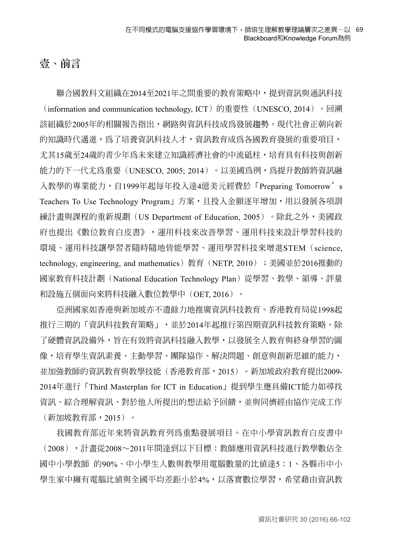# **壹、前言**

聯合國教科文組織在2014至2021年之間重要的教育策略中,提到資訊與通訊科技 (information and communication technology, ICT) 的重要性(UNESCO, 2014)。回溯 該組織於2005年的相關報告指出,網路與資訊科技成為發展趨勢。現代社會正朝向新 的知識時代邁進,為了培養資訊科技人才,資訊教育成為各國教育發展的重要項目, 尤其15歲至24歲的青少年為未來建立知識經濟社會的中流砥柱,培育具有科技與創新 能力的下一代尤為重要(UNESCO, 2005; 2014)。以美國為例,為提升教師將資訊融 入教學的專業能力,自1999年起每年投入達4億美元經費於「Preparing Tomorrow's Teachers To Use Technology Program」方案,且投入金額逐年增加,用以發展各項訓 練計畫與課程的重新規劃 (US Department of Education, 2005) 。除此之外,美國政 府也提出《數位教育白皮書》,運用科技來改善學習、運用科技來設計學習科技的 環境、運用科技讓學習者隨時隨地皆能學習、運用學習科技來增進STEM(science, technology, engineering, and mathematics) 教育 (NETP, 2010);美國並於2016推動的 國家教育科技計劃(National Education Technology Plan)從學習、教學、領導、評量 和設施五個面向來將科技融入數位教學中(OET, 2016)。

亞洲國家如香港與新加坡亦不遺餘力地推廣資訊科技教育。香港教育局從1998起 推行三期的「資訊科技教育策略」,並於2014年起推行第四期資訊科技教育策略。除 了硬體資訊設備外,旨在有效將資訊科技融入教學,以發展全人教育與終身學習的圖 像,培育學生資訊素養、主動學習、團隊協作、解決問題、創意與創新思維的能力, 並加強教師的資訊教育與教學技能(香港教育部,2015)。新加坡政府教育提出2009- 2014年進行「Third Masterplan for ICT in Education」提到學生應具備ICT能力如尋找 資訊、綜合理解資訊、對於他人所提出的想法給予回饋,並與同儕經由協作完成工作 (新加坡教育部,2015)。

我國教育部近年來將資訊教育列為重點發展項目。在中小學資訊教育白皮書中 (2008),計畫從2008∼2011年間達到以下目標:教師應用資訊科技進行教學數佔全 國中小學教師 的90%、中小學生人數與教學用電腦數量的比值達5:1、各縣市中小 學生家中擁有電腦比值與全國平均差距小於4%,以落實數位學習,希望藉由資訊教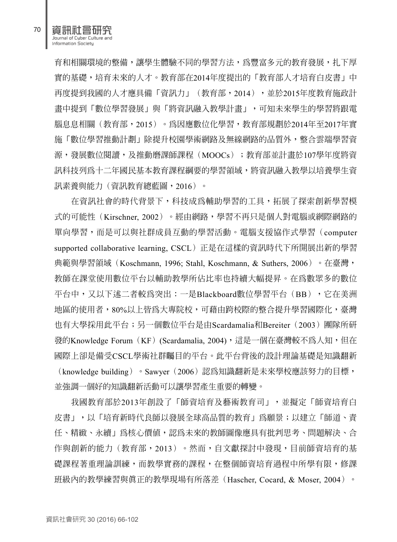資訊社會研究 Journal of Cyber Culture and Information Society

育和相關環境的整備,讓學生體驗不同的學習方法,為豐富多元的教育發展,扎下厚 實的基礎,培育未來的人才。教育部在2014年度提出的「教育部人才培育白皮書」中 再度提到我國的人才應具備「資訊力」(教育部,2014),並於2015年度教育施政計 畫中提到「數位學習發展」與「將資訊融入教學計畫」,可知未來學生的學習將跟電 腦息息相關(教育部,2015)。為因應數位化學習,教育部規劃於2014年至2017年實 施「數位學習推動計劃」除提升校園學術網路及無線網路的品質外,整合雲端學習資 源,發展數位閱讀,及推動磨課師課程(MOOCs);教育部並計畫於107學年度將資 訊科技列為十二年國民基本教育課程綱要的學習領域,將資訊融入教學以培養學生資 訊素養與能力(資訊教育總藍圖,2016)。

在資訊社會的時代背景下,科技成為輔助學習的工具,拓展了探索創新學習模 式的可能性(Kirschner, 2002)。經由網路,學習不再只是個人對電腦或網際網路的 單向學習,而是可以與社群成員互動的學習活動。電腦支援協作式學習(computer supported collaborative learning, CSCL)正是在這樣的資訊時代下所開展出新的學習 典範與學習領域(Koschmann, 1996; Stahl, Koschmann, & Suthers, 2006)。在臺灣, 教師在課堂使用數位平台以輔助教學所佔比率也持續大幅提昇。在為數眾多的數位 平台中,又以下述二者較為突出:一是Blackboard數位學習平台(BB), 它在美洲 地區的使用者,80%以上皆為大專院校,可藉由跨校際的整合提升學習國際化,臺灣 也有大學採用此平台;另一個數位平台是由Scardamalia和Bereiter(2003)團隊所研 發的Knowledge Forum (KF) (Scardamalia, 2004),這是一個在臺灣較不為人知,但在 國際上卻是備受CSCL學術社群矚目的平台。此平台背後的設計理論基礎是知識翻新 (knowledge building)。Sawyer(2006)認為知識翻新是未來學校應該努力的目標, 並強調一個好的知識翻新活動可以讓學習產生重要的轉變。

我國教育部於2013年創設了「師資培育及藝術教育司」,並擬定「師資培育白 皮書」,以「培育新時代良師以發展全球高品質的教育」爲願景;以建立「師道、責 任、精緻、永續」為核心價值,認為未來的教師圖像應具有批判思考、問題解決、合 作與創新的能力(教育部,2013)。然而,自文獻探討中發現,目前師資培育的基 礎課程著重理論訓練,而教學實務的課程,在整個師資培育過程中所學有限,修課 班級內的教學練習與真正的教學現場有所落差(Hascher, Cocard, & Moser, 2004)。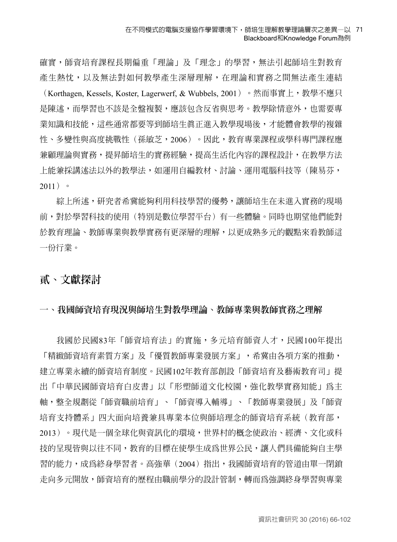確實,師資培育課程長期偏重「理論」及「理念」的學習,無法引起師培生對教育 產生熱忱,以及無法對如何教學產生深層理解,在理論和實務之間無法產生連結 (Korthagen, Kessels, Koster, Lagerwerf, & Wubbels, 2001)。然而事實上,教學不應只 是陳述,而學習也不該是全盤複製,應該包含反省與思考。教學除情意外,也需要專 業知識和技能,這些通常都要等到師培生真正進入教學現場後,才能體會教學的複雜 性、多變性與高度挑戰性(孫敏芝,2006)。因此,教育專業課程或學科專門課程應 兼顧理論與實務,提昇師培生的實務經驗,提高生活化內容的課程設計,在教學方法 上能兼採講述法以外的教學法,如運用自編教材、討論、運用電腦科技等(陳易芬,  $2011$ )  $\circ$ 

綜上所述,研究者希冀能夠利用科技學習的優勢,讓師培生在未進入實務的現場 前,對於學習科技的使用(特別是數位學習平台)有一些體驗。同時也期望他們能對 於教育理論、教師專業與教學實務有更深層的理解,以更成熟多元的觀點來看教師這 一份行業。

### **貳、文獻探討**

### **一、我國師資培育現況與師培生對教學理論、教師專業與教師實務之理解**

我國於民國83年「師資培育法」的實施,多元培育師資人才,民國100年提出 「精緻師資培育素質方案」及「優質教師專業發展方案」,希冀由各項方案的推動, 建立專業永續的師資培育制度。民國102年教育部創設「師資培育及藝術教育司」提 出「中華民國師資培育白皮書」以「形塑師道文化校園,強化教學實務知能」為主 軸,整全規劃從「師資職前培育」、「師資導入輔導」、「教師專業發展」及「師資 培育支持體系」四大面向培養兼具專業本位與師培理念的師資培育系統(教育部, 2013)。現代是一個全球化與資訊化的環境,世界村的概念使政治、經濟、文化或科 技的呈現皆與以往不同,教育的目標在使學生成為世界公民,讓人們具備能夠自主學 習的能力,成為終身學習者。高強華(2004)指出,我國師資培育的管道由單一閉鎖 走向多元開放,師資培育的歷程由職前學分的設計管制,轉而為強調終身學習與專業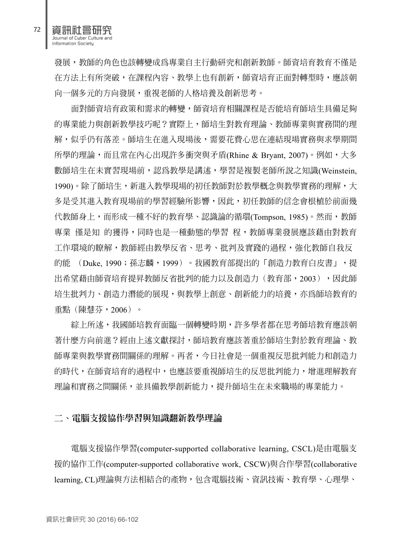資訊社會研究 Journal of Cyber Culture and Information Society

發展,教師的角色也該轉變成為專業自主行動研究和創新教師。師資培育教育不僅是 在方法上有所突破,在課程內容、教學上也有創新,師資培育正面對轉型時,應該朝 向一個多元的方向發展,重視老師的人格培養及創新思考。

面對師資培育政策和需求的轉變,師資培育相關課程是否能培育師培生具備足夠 的專業能力與創新教學技巧呢?實際上,師培生對教育理論、教師專業與實務間的理 解,似乎仍有落差。師培生在進入現場後,需要花費心思在連結現場實務與求學期間 所學的理論,而且常在內心出現許多衝突與矛盾(Rhine & Bryant, 2007)。例如,大多 數師培生在未實習現場前,認為教學是講述,學習是複製老師所說之知識(Weinstein, 1990)。除了師培生,新進入教學現場的初任教師對於教學概念與教學實務的理解,大 多是受其進入教育現場前的學習經驗所影響,因此,初任教師的信念會根植於前面幾 代教師身上,而形成一種不好的教育學、認識論的循環(Tompson, 1985)。然而,教師 專業 僅是知 的獲得,同時也是一種動態的學習 程,教師專業發展應該藉由對教育 工作環境的瞭解,教師經由教學反省、思考、批判及實踐的過程,強化教師自我反 的能 (Duke, 1990;孫志麟,1999)。我國教育部提出的「創造力教育白皮書」,提 出希望藉由師資培育提昇教師反省批判的能力以及創造力(教育部,2003),因此師 培生批判力、創造力潛能的展現,與教學上創意、創新能力的培養,亦為師培教育的 重點(陳慧芬,2006)。

綜上所述,我國師培教育面臨一個轉變時期,許多學者都在思考師培教育應該朝 著什麼方向前進?經由上述文獻探討,師培教育應該著重於師培生對於教育理論、教 師專業與教學實務間關係的理解。再者,今日社會是一個重視反思批判能力和創造力 的時代,在師資培育的過程中,也應該要重視師培生的反思批判能力,增進理解教育 理論和實務之間關係,並具備教學創新能力,提升師培生在未來職場的專業能力。

#### **二、電腦支援協作學習與知識翻新教學理論**

電腦支援協作學習(computer-supported collaborative learning, CSCL)是由電腦支 援的協作工作(computer-supported collaborative work, CSCW)與合作學習(collaborative learning, CL)理論與方法相結合的產物,包含電腦技術、資訊技術、教育學、心理學、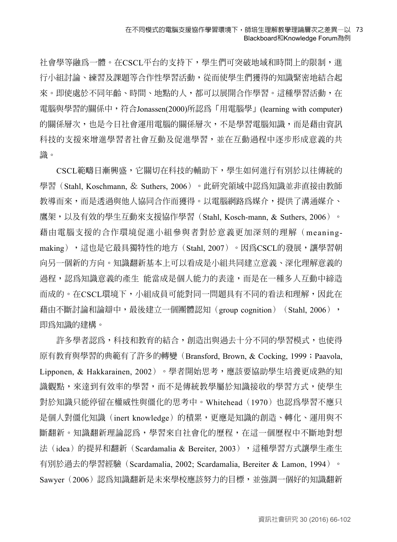#### 在不同模式的電腦支援協作學習環境下,師培生理解教學理論層次之差異—以 73 Blackboard和Knowledge Forum為例

社會學等融為一體。在CSCL平台的支持下,學生們可突破地域和時間上的限制,進 行小組討論、練習及課題等合作性學習活動,從而使學生們獲得的知識緊密地結合起 來。即使處於不同年齡、時間、地點的人,都可以展開合作學習。這種學習活動,在 電腦與學習的關係中,符合Jonassen(2000)所認為「用電腦學」(learning with computer) 的關係層次,也是今日社會運用電腦的關係層次,不是學習電腦知識,而是藉由資訊 科技的支援來增進學習者社會互動及促進學習,並在互動過程中逐步形成意義的共 識。

CSCL範疇日漸興盛,它關切在科技的輔助下,學生如何進行有別於以往傳統的 學習 (Stahl, Koschmann, & Suthers, 2006) 。此研究領域中認爲知識並非直接由教師 教導而來,而是透過與他人協同合作而獲得。以電腦網路為媒介,提供了溝通媒介、 鷹架,以及有效的學生互動來支援協作學習(Stahl, Kosch-mann, & Suthers, 2006)。 藉由電腦支援的合作環境促進小組參與者對於意義更加深刻的理解(meaningmaking),這也是它最具獨特性的地方(Stahl, 2007)。因為CSCL的發展,讓學習朝 向另一個新的方向。知識翻新基本上可以看成是小組共同建立意義、深化理解意義的 過程,認為知識意義的產生 能當成是個人能力的表達,而是在一種多人互動中締造 而成的。在CSCL環境下,小組成員可能對同一問題具有不同的看法和理解,因此在 藉由不斷討論和論辯中,最後建立一個團體認知(group cognition)(Stahl, 2006), 即為知識的建構。

許多學者認為,科技和教育的結合,創造出與過去十分不同的學習模式,也使得 原有教育與學習的典範有了許多的轉變(Bransford, Brown, & Cocking, 1999;Paavola, Lipponen, & Hakkarainen, 2002)。學者開始思考,應該要協助學生培養更成熟的知 識觀點,來達到有效率的學習,而不是傳統教學屬於知識接收的學習方式,使學生 對於知識只能停留在權威性與僵化的思考中。Whitehead(1970)也認為學習不應只 是個人對僵化知識(inert knowledge)的積累,更應是知識的創造、轉化、運用與不 斷翻新。知識翻新理論認為,學習來自社會化的歷程,在這一個歷程中不斷地對想 法(idea)的提昇和翻新(Scardamalia & Bereiter, 2003),這種學習方式讓學生產生 有別於過去的學習經驗(Scardamalia, 2002; Scardamalia, Bereiter & Lamon, 1994)。 Sawyer(2006)認為知識翻新是未來學校應該努力的目標,並強調一個好的知識翻新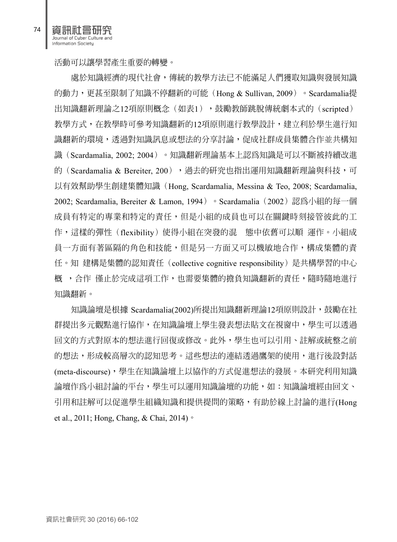資訊社會研究 Journal of Cyber Culture and Information Society

處於知識經濟的現代社會,傳統的教學方法已不能滿足人們獲取知識與發展知識 的動力,更甚至限制了知識不停翻新的可能(Hong & Sullivan, 2009)。Scardamalia提 出知識翻新理論之12項原則概念(如表1),鼓勵教師跳脫傳統劇本式的(scripted) 教學方式,在教學時可參考知識翻新的12項原則進行教學設計,建立利於學生進行知 識翻新的環境,透過對知識訊息或想法的分享討論,促成社群成員集體合作並共構知 識(Scardamalia, 2002; 2004)。知識翻新理論基本上認為知識是可以不斷被持續改進 的(Scardamalia & Bereiter, 200),過去的研究也指出運用知識翻新理論與科技,可 以有效幫助學生創建集體知識(Hong, Scardamalia, Messina & Teo, 2008; Scardamalia, 2002; Scardamalia, Bereiter & Lamon, 1994) 。Scardamalia(2002)認為小組的每一個 成員有特定的專業和特定的責任,但是小組的成員也可以在關鍵時刻接管彼此的工 作,這樣的彈性(flexibility)使得小組在突發的混 態中依舊可以順 運作。小組成 員一方面有著區隔的角色和技能,但是另一方面又可以機敏地合作,構成集體的責 任。知 建構是集體的認知責任(collective cognitive responsibility)是共構學習的中心 概 ,合作 僅止於完成這項工作,也需要集體的擔負知識翻新的責任,隨時隨地進行 知識翻新。

知識論壇是根據 Scardamalia(2002)所提出知識翻新理論12項原則設計,鼓勵在社 群提出多元觀點進行協作,在知識論壇上學生發表想法貼文在視窗中,學生可以透過 回文的方式對原本的想法進行回復或修改。此外,學生也可以引用、註解或統整之前 的想法,形成較高層次的認知思考。這些想法的連結透過鷹架的使用,進行後設對話 (meta-discourse),學生在知識論壇上以協作的方式促進想法的發展。本研究利用知識 論壇作為小組討論的平台,學生可以運用知識論壇的功能,如:知識論壇經由回文、 引用和註解可以促進學生組織知識和提供提問的策略,有助於線上討論的進行(Hong et al., 2011; Hong, Chang, & Chai, 2014)。

74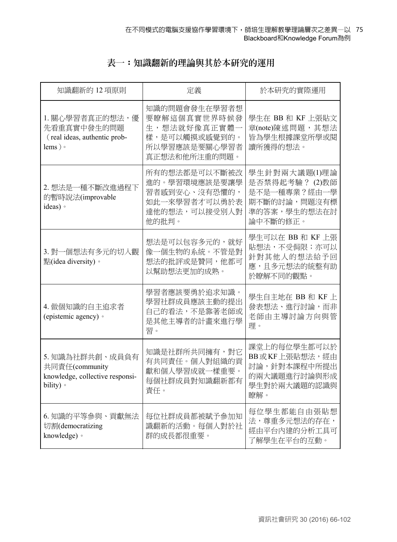## **表一:知識翻新的理論與其於本研究的運用**

| 知識翻新的 12 項原則                                                                      | 定義                                                                                               | 於本研究的實際運用                                                                                   |
|-----------------------------------------------------------------------------------|--------------------------------------------------------------------------------------------------|---------------------------------------------------------------------------------------------|
| 1. 關心學習者真正的想法,優<br>先看重真實中發生的問題<br>(real ideas, authentic prob-<br>lems) $\circ$   | 知識的問題會發生在學習者想<br>要瞭解這個真實世界時候發<br>生,想法就好像真正實體一<br>樣,是可以觸摸或感覺到的。<br>所以學習應該是要關心學習者<br>真正想法和他所注重的問題。 | 學生在 BB 和 KF 上張貼文<br>章(note)陳述問題,其想法<br>皆為學生根據課堂所學或閱<br>讀所獲得的想法。                             |
| 2. 想法是一種不斷改進過程下<br>的暫時說法(improvable<br>ideas) ·                                   | 所有的想法都是可以不斷被改<br>進的。學習環境應該是要讓學<br>習者感到安心、沒有恐懼的,<br>如此一來學習者才可以勇於表<br>達他的想法,可以接受別人對<br>他的批判。       | 學生針對兩大議題(1)理論<br>是否禁得起考驗? (2)教師<br>是不是一種專業?經由一學<br>期不斷的討論,問題沒有標<br>準的答案,學生的想法在討<br>論中不斷的修正。 |
| 3. 對一個想法有多元的切入觀<br>點(idea diversity)。                                             | 想法是可以包容多元的,就好<br>像一個生物的系統。不管是對<br>想法的批評或是贊同,他都可<br>以幫助想法更加的成熟。                                   | 學生可以在 BB 和 KF 上張<br>貼想法,不受侷限;亦可以<br>針對其他人的想法給予回<br>應,且多元想法的統整有助<br>於瞭解不同的觀點。                |
| 4. 做個知識的自主追求者<br>(epistemic agency) ·                                             | 學習者應該要勇於追求知識。<br>學習社群成員應該主動的提出<br>自己的看法,不是靠著老師或<br>是其他主導者的計畫來進行學<br>習。                           | 學生自主地在 BB 和 KF 上<br>發表想法、進行討論,而非<br>老師由主導討論方向與管<br>理。                                       |
| 5. 知識為社群共創、成員負有<br>共同責任(community<br>knowledge, collective responsi-<br>bility) · | 知識是社群所共同擁有, 對它<br>有共同責任。個人對組織的貢<br>獻和個人學習成就一樣重要。<br>每個社群成員對知識翻新都有<br>責任。                         | 課堂上的每位學生都可以於<br>BB或KF上張貼想法,經由<br>討論,針對本課程中所提出<br>的兩大議題進行討論與形成<br>學生對於兩大議題的認識與<br>瞭解。        |
| 6. 知識的平等參與、貢獻無法<br>切割(democratizing<br>knowledge) ·                               | 每位社群成員都被賦予參加知<br>識翻新的活動。每個人對於社<br>群的成長都很重要。                                                      | 每位學生都能自由張貼想<br>法,尊重多元想法的存在,<br>經由平台內建的分析工具可<br>了解學生在平台的互動。                                  |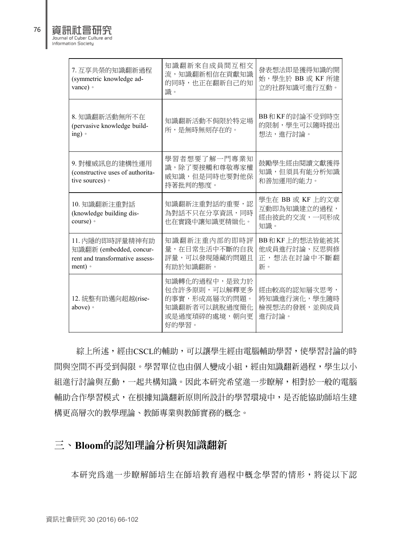| h |        |
|---|--------|
|   | nurnal |

| 資訊社會研究                       |
|------------------------------|
| Journal of Cyber Culture and |
| Information Society          |

| 7. 互享共榮的知識翻新過程<br>(symmetric knowledge ad-<br>vance) ·                                 | 知識翻新來自成員間互相交<br>流,知識翻新相信在貢獻知識<br>的同時,也正在翻新自己的知<br>識。                                               | 發表想法即是獲得知識的開<br>始,學生於 BB 或 KF 所建<br>立的社群知識可進行互動。        |
|----------------------------------------------------------------------------------------|----------------------------------------------------------------------------------------------------|---------------------------------------------------------|
| 8. 知識翻新活動無所不在<br>(pervasive knowledge build-<br>ing)                                   | 知識翻新活動不侷限於特定場<br>所,是無時無刻存在的。                                                                       | BB和KF的討論不受到時空<br>的限制, 學生可以隨時提出<br>想法,進行討論。              |
| 9. 對權威訊息的建構性運用<br>(constructive uses of authorita-<br>tive sources) ·                  | 學習者想要了解一門專業知<br>識,除了要接觸和尊敬專家權<br>威知識,但是同時也要對他保<br>持著批判的態度。                                         | 鼓勵學生經由閱讀文獻獲得<br>知識,但須具有能分析知識<br>和善加運用的能力。               |
| 10. 知識翻新注重對話<br>(knowledge building dis-<br>course) 。                                  | 知識翻新注重對話的重要,認<br>為對話不只在分享資訊,同時<br>也在實踐中讓知識更精緻化。                                                    | 學生在 BB 或 KF 上的文章<br>互動即為知識建立的過程,<br>經由彼此的交流,一同形成<br>知識。 |
| 11. 内隱的即時評量精神有助<br>知識翻新 (embedded, concur-<br>rent and transformative assess-<br>ment) | 知識翻新注重內部的即時評<br>量,在日常生活中不斷的自我<br>評量,可以發現隱藏的問題且<br>有助於知識翻新。                                         | BB和KF上的想法皆能被其<br>他成員進行討論、反思與修<br>正,想法在討論中不斷翻<br>新。      |
| 12. 統整有助邁向超越(rise-<br>above) ·                                                         | 知識轉化的過程中,是致力於<br>包含許多原則,可以解釋更多<br>的事實,形成高層次的問題。<br>知識翻新者可以跳脫過度簡化<br><b>或是過度瑣碎的處境,</b> 朝向更<br>好的學習。 | 經由較高的認知層次思考,<br>將知識進行演化,學生隨時<br>檢視想法的發展,並與成員<br>進行討論。   |

 綜上所述,經由CSCL的輔助,可以讓學生經由電腦輔助學習,使學習討論的時 間與空間不再受到侷限。學習單位也由個人變成小組,經由知識翻新過程,學生以小 組進行討論與互動,一起共構知識。因此本研究希望進一步瞭解,相對於一般的電腦 輔助合作學習模式,在根據知識翻新原則所設計的學習環境中,是否能協助師培生建 構更高層次的教學理論、教師專業與教師實務的概念。

## **三、Bloom的認知理論分析與知識翻新**

本研究為進一步瞭解師培生在師培教育過程中概念學習的情形,將從以下認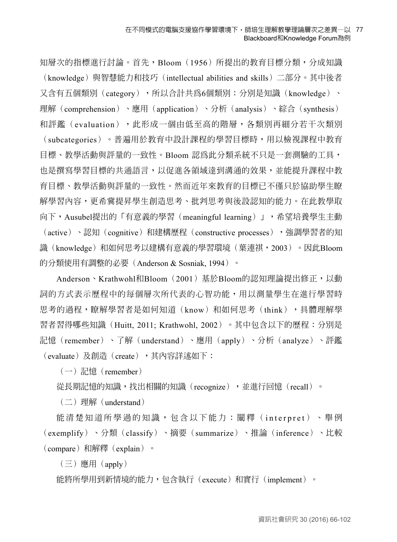知層次的指標進行討論。首先,Bloom(1956)所提出的教育目標分類,分成知識 (knowledge)與智慧能力和技巧(intellectual abilities and skills)二部分。其中後者 又含有五個類別(category),所以合計共為6個類別:分別是知識(knowledge)、 理解(comprehension)、應用(application)、分析(analysis)、綜合(synthesis) 和評鑑(evaluation),此形成一個由低至高的階層,各類別再細分若干次類別 (subcategories)。普遍用於教育中設計課程的學習目標時,用以檢視課程中教育 目標、教學活動與評量的一致性。Bloom 認為此分類系統不只是一套測驗的工具, 也是撰寫學習目標的共通語言,以促進各領域達到溝通的效果,並能提升課程中教 育目標、教學活動與評量的一致性。然而近年來教育的目標已不僅只於協助學生瞭 解學習內容,更希冀提昇學生創造思考、批判思考與後設認知的能力。在此教學取 向下,Ausubel提出的「有意義的學習(meaningful learning)」,希望培養學生主動 (active)、認知(cognitive)和建構歷程(constructive processes),每調學習者的知 識(knowledge)和如何思考以建構有意義的學習環境(葉連祺,2003)。因此Bloom 的分類使用有調整的必要(Anderson & Sosniak, 1994)。

Anderson、Krathwohl和Bloom(2001)基於Bloom的認知理論提出修正,以動 詞的方式表示歷程中的每個層次所代表的心智功能,用以測量學生在進行學習時 思考的過程,瞭解學習者是如何知道(know)和如何思考(think),具體理解學 習者習得哪些知識(Huitt, 2011; Krathwohl, 2002)。其中包含以下的歷程:分別是 記憶(remember)、了解(understand)、應用(apply)、分析(analyze)、評鑑 (evaluate)及創造(create),其內容詳述如下:

 $(-)$ 記憶(remember)

從長期記憶的知識,找出相關的知識(recognize),並進行回憶(recall)。

 $(\rightharpoonup)$  理解 (understand)

能清楚知道所學過的知識,包含以下能力:闡釋( interpret )、舉例 (exemplify)、分類(classify)、摘要(summarize)、推論(inference)、比較  $\epsilon$  (compare) 和解釋  $\epsilon$  (explain)  $\epsilon$ 

 $(\equiv)$  應用  $(\text{apply})$ 

能將所學用到新情境的能力,包含執行(execute)和實行(implement)。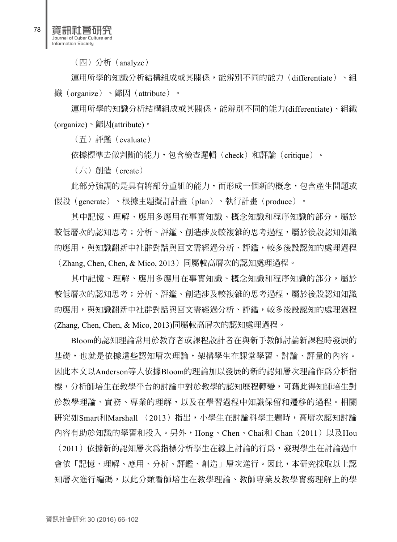(四)分析(analyze)

運用所學的知識分析結構組成或其關係,能辨別不同的能力(differentiate)、組 織(organize)、歸因(attribute)。

運用所學的知識分析結構組成或其關係,能辨別不同的能力(differentiate)、組織 (organize)、歸因(attribute)。

 $( H )$  評鑑 (evaluate)

依據標準去做判斷的能力,包含檢查邏輯(check)和評論(critique)。

(六)創造(create)

此部分強調的是具有將部分重組的能力,而形成一個新的概念,包含產生問題或 假設(generate)、根據主題擬訂計畫(plan)、執行計畫(produce)。

其中記憶、理解、應用多應用在事實知識、概念知識和程序知識的部分,屬於 較低層次的認知思考;分析、評鑑、創造涉及較複雜的思考過程,屬於後設認知知識 的應用,與知識翻新中社群對話與回文需經過分析、評鑑,較多後設認知的處理過程  $($  Zhang, Chen, Chen, & Mico, 2013) 同屬較高層次的認知處理過程。

其中記憶、理解、應用多應用在事實知識、概念知識和程序知識的部分,屬於 較低層次的認知思考;分析、評鑑、創造涉及較複雜的思考過程,屬於後設認知知識 的應用,與知識翻新中社群對話與回文需經過分析、評鑑,較多後設認知的處理過程 (Zhang, Chen, Chen, & Mico, 2013)同屬較高層次的認知處理過程。

Bloom的認知理論常用於教育者或課程設計者在與新手教師討論新課程時發展的 基礎,也就是依據這些認知層次理論,架構學生在課堂學習、討論、評量的內容。 因此本文以Anderson等人依據Bloom的理論加以發展的新的認知層次理論作為分析指 標,分析師培生在教學平台的討論中對於教學的認知歷程轉變,可藉此得知師培生對 於教學理論、實務、專業的理解,以及在學習過程中知識保留和遷移的過程。相關 研究如Smart和Marshall (2013)指出,小學生在討論科學主題時,高層次認知討論 內容有助於知識的學習和投入。另外,Hong、Chen、Chai和 Chan(2011)以及Hou (2011)依據新的認知層次為指標分析學生在線上討論的行為,發現學生在討論過中 會依「記憶、理解、應用、分析、評鑑、創造」層次進行。因此,本研究採取以上認 知層次進行編碼,以此分類看師培生在教學理論、教師專業及教學實務理解上的學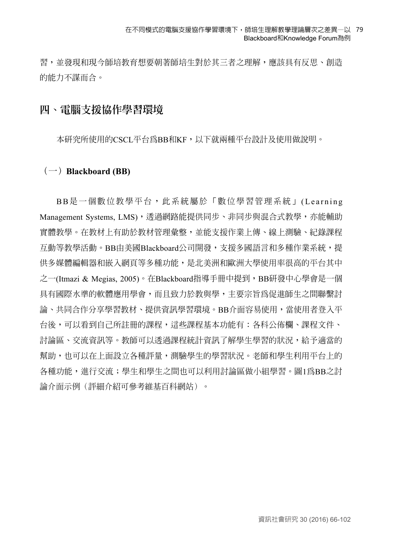#### 在不同模式的電腦支援協作學習環境下,師培生理解教學理論層次之差異—以 79 Blackboard和Knowledge Forum為例

習,並發現和現今師培教育想要朝著師培生對於其三者之理解,應該具有反思、創造 的能力不謀而合。

### **四、電腦支援協作學習環境**

本研究所使用的CSCL平台為BB和KF,以下就兩種平台設計及使用做說明。

#### **(一)Blackboard (BB)**

BB是一個數位教學平台,此系統屬於「數位學習管理系統」(Learning Management Systems, LMS), 透過網路能提供同步、非同步與混合式教學, 亦能輔助 實體教學。在教材上有助於教材管理彙整,並能支援作業上傳、線上測驗、紀錄課程 互動等教學活動。BB由美國Blackboard公司開發,支援多國語言和多種作業系統,提 供多媒體編輯器和嵌入網頁等多種功能,是北美洲和歐洲大學使用率很高的平台其中 之一(Itmazi & Megias, 2005)。在Blackboard指導手冊中提到,BB研發中心學會是一個 具有國際水準的軟體應用學會,而且致力於教與學,主要宗旨為促進師生之間聯繫討 論、共同合作分享學習教材、提供資訊學習環境。BB介面容易使用,當使用者登入平 台後,可以看到自己所註冊的課程,這些課程基本功能有:各科公佈欄、課程文件、 討論區、交流資訊等。教師可以透過課程統計資訊了解學生學習的狀況,給予適當的 幫助,也可以在上面設立各種評量,測驗學生的學習狀況。老師和學生利用平台上的 各種功能,進行交流;學生和學生之間也可以利用討論區做小組學習。圖1為BB之討 論介面示例(評細介紹可參考維基百科網站)。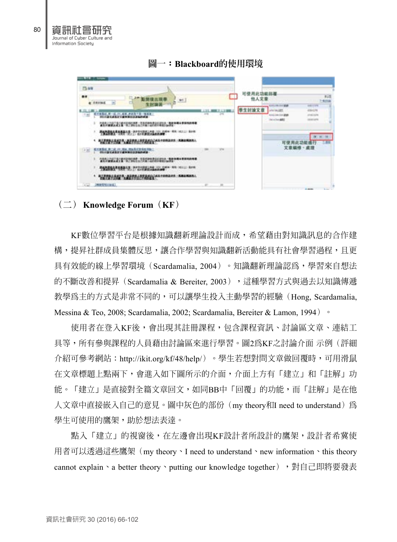

#### **圖一:Blackboard的使用環境**

### **(二) Knowledge Forum(KF)**

KF數位學習平台是根據知識翻新理論設計而成,希望藉由對知識訊息的合作建 構,提昇社群成員集體反思,讓合作學習與知識翻新活動能具有社會學習過程,且更 具有效能的線上學習環境(Scardamalia, 2004)。知識翻新理論認為,學習來自想法 的不斷改善和提昇(Scardamalia & Bereiter, 2003), 這種學習方式與過去以知識傳遞 教學為主的方式是非常不同的,可以讓學生投入主動學習的經驗(Hong, Scardamalia, Messina & Teo, 2008; Scardamalia, 2002; Scardamalia, Bereiter & Lamon, 1994) <sup>o</sup>

使用者在登入KF後,會出現其註冊課程,包含課程資訊、討論區文章、連結工 具等,所有參與課程的人員藉由討論區來進行學習。圖2為KF之討論介面 示例(評細 介紹可參考網站:http://ikit.org/kf/48/help/)。學生若想對問文章做回覆時,可用滑鼠 在文章標題上點兩下,會進入如下圖所示的介面,介面上方有「建立」和「註解」功 能。「建立」是直接對全篇文章回文,如同BB中「回覆」的功能,而「註解」是在他 人文章中直接嵌入自己的意見。圖中灰色的部份 (my theory和I need to understand) 為 學生可使用的鷹架,助於想法表達。

點入「建立」的視窗後,在左邊會出現KF設計者所設計的鷹架,設計者希冀使 用者可以透過這些鷹架(my theory、I need to understand、new information、this theory cannot explain、a better theory、putting our knowledge together), 對自己即將要發表

資訊社會研究 Journal of Cyber Culture and Information Society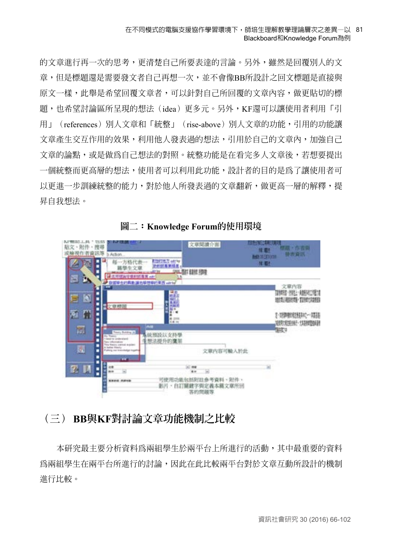的文章進行再一次的思考,更清楚自己所要表達的言論。另外,雖然是回覆別人的文 章,但是標題還是需要發文者自己再想一次,並不會像BB所設計之回文標題是直接與 原文一樣,此舉是希望回覆文章者,可以針對自己所回覆的文章內容,做更貼切的標 題,也希望討論區所呈現的想法(idea)更多元。另外,KF還可以讓使用者利用「引 用」(references)別人文章和「統整」(rise-above)別人文章的功能,引用的功能讓 文章產生交互作用的效果,利用他人發表過的想法,引用於自己的文章內,加強自己 文章的論點,或是做為自己想法的對照。統整功能是在看完多人文章後,若想要提出 一個統整而更高層的想法,使用者可以利用此功能,設計者的目的是為了讓使用者可 以更進一步訓練統整的能力,對於他人所發表過的文章翻新,做更高一層的解釋,提 昇自我想法。



**圖二:Knowledge Forum的使用環境**

## **(三) BB與KF對討論文章功能機制之比較**

本研究最主要分析資料為兩組學生於兩平台上所進行的活動,其中最重要的資料 為兩組學生在兩平台所進行的討論,因此在此比較兩平台對於文章互動所設計的機制 進行比較。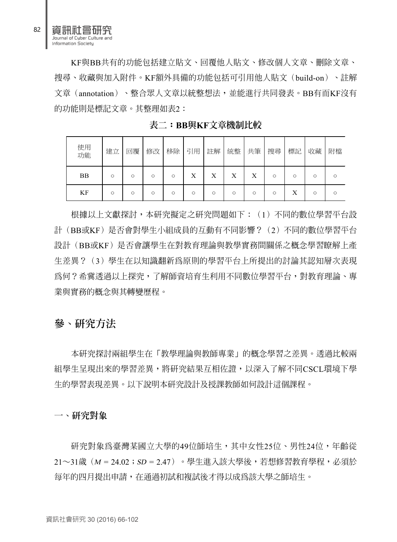KF與BB共有的功能包括建立貼文、回覆他人貼文、修改個人文章、刪除文章、 搜尋、收藏與加入附件。KF額外具備的功能包括可引用他人貼文(build-on)、註解 文章(annotation)、整合眾人文章以統整想法,並能進行共同發表。BB有而KF沒有 的功能則是標記文章。其整理如表2:

| 使用<br>功能  | 建立 | 回覆      | 修改 | 移除 | 引用 | 註解 | 統整 | 共筆 | 搜尋 | 標記 | 收藏      | 附檔 |
|-----------|----|---------|----|----|----|----|----|----|----|----|---------|----|
| <b>BB</b> | O  | $\circ$ | О  | О  | Х  | х  | Х  | X  |    |    | ∩       |    |
| KF        | O  | $\circ$ | Ω  | О  | ∩  |    | C  | О  | О  | Λ  | $\circ$ |    |

**表二:BB與KF文章機制比較**

根據以上文獻探討,本研究擬定之研究問題如下:(1)不同的數位學習平台設 計(BB或KF)是否會對學生小組成員的互動有不同影響?(2)不同的數位學習平台 設計(BB或KF)是否會讓學生在對教育理論與教學實務間關係之概念學習瞭解上產 生差異?(3)學生在以知識翻新為原則的學習平台上所提出的討論其認知層次表現 為何?希冀透過以上探究,了解師資培育生利用不同數位學習平台,對教育理論、專 業與實務的概念與其轉變歷程。

### **參、研究方法**

本研究探討兩組學生在「教學理論與教師專業」的概念學習之差異。透過比較兩 組學生呈現出來的學習差異,將研究結果互相佐證,以深入了解不同CSCL環境下學 生的學習表現差異。以下說明本研究設計及授課教師如何設計這個課程。

**一、研究對象**

研究對象為臺灣某國立大學的49位師培生,其中女性25位、男性24位,年齡從 21〜31歲(M = 24.02;SD = 2.47)。學生進入該大學後,若想修習教育學程,必須於 每年的四月提出申請,在通過初試和複試後才得以成為該大學之師培生。

82

資訊社會研究 Journal of Cyber Culture and Information Society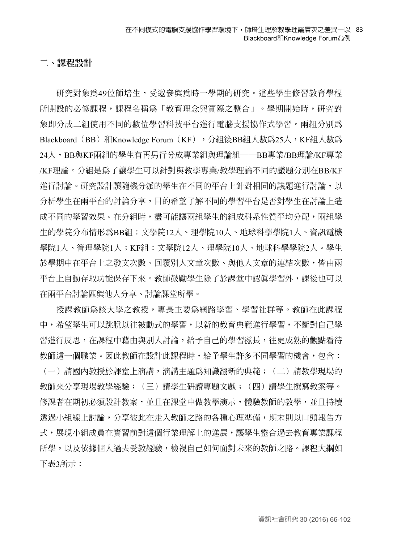### **二、課程設計**

研究對象為49位師培生,受邀參與為時一學期的研究。這些學生修習教育學程 所開設的必修課程,課程名稱為「教育理念與實際之整合」。學期開始時,研究對 象即分成二組使用不同的數位學習科技平台進行電腦支援協作式學習。兩組分別為 Blackboard (BB) 和Knowledge Forum (KF), 分組後BB組人數為25人, KF組人數為 24人,BB與KF兩組的學生有再另行分成專業組與理論組──BB專業/BB理論/KF專業 /KF理論。分組是為了讓學生可以針對與教學專業/教學理論不同的議題分別在BB/KF 進行討論。研究設計讓隨機分派的學生在不同的平台上針對相同的議題進行討論,以 分析學生在兩平台的討論分享,目的希望了解不同的學習平台是否對學生在討論上造 成不同的學習效果。在分組時,盡可能讓兩組學生的組成科系性質平均分配,兩組學 生的學院分布情形為BB組:文學院12人、理學院10人、地球科學學院1人、資訊電機 學院1人、管理學院1人;KF組:文學院12人、理學院10人、地球科學學院2人。學生 於學期中在平台上之發文次數、回覆別人文章次數、與他人文章的連結次數,皆由兩 平台上自動存取功能保存下來。教師鼓勵學生除了於課堂中認真學習外,課後也可以 在兩平台討論區與他人分享、討論課堂所學。

授課教師為該大學之教授,專長主要為網路學習、學習社群等。教師在此課程 中,希望學生可以跳脫以往被動式的學習,以新的教育典範進行學習,不斷對自己學 習進行反思,在課程中藉由與別人討論,給予自己的學習滋長,往更成熟的觀點看待 教師這一個職業。因此教師在設計此課程時,給予學生許多不同學習的機會,包含: (一)請國內教授於課堂上演講,演講主題為知識翻新的典範;(二)請教學現場的 教師來分享現場教學經驗;(三)請學生研讀專題文獻;(四)請學生撰寫教案等。 修課者在期初必須設計教案,並且在課堂中做教學演示,體驗教師的教學,並且持續 透過小組線上討論,分享彼此在走入教師之路的各種心理準備,期末則以口頭報告方 式,展現小組成員在實習前對這個行業理解上的進展,讓學生整合過去教育專業課程 所學,以及依據個人過去受教經驗,檢視自己如何面對未來的教師之路。課程大綱如 下表3所示: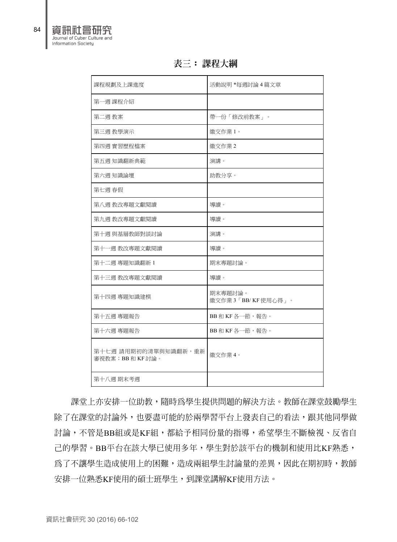| 課程規劃及上課進度                              | 活動說明 *每週討論 4 篇文章             |
|----------------------------------------|------------------------------|
| 第一週 課程介紹                               |                              |
| 第二週 教案                                 | 帶一份「修改前教案」。                  |
| 第三週 教學演示                               | 繳交作業1。                       |
| 第四週 實習歷程檔案                             | 繳交作業2                        |
| 第五週 知識翻新典範                             | 演講。                          |
| 第六週 知識論壇                               | 助教分享。                        |
| 第七週 春假                                 |                              |
| 第八週 教改專題文獻閱讀                           | 導讀。                          |
| 第九週 教改專題文獻閱讀                           | 導讀。                          |
| 第十週 與基層教師對談討論                          | 演講。                          |
| 第十一週 教改專題文獻閱讀                          | 導讀。                          |
| 第十二週 專題知識翻新 1                          | 期末專題討論。                      |
| 第十三週 教改專題文獻閱讀                          | 導讀。                          |
| 第十四週 專題知識建模                            | 期末專題討論。<br>繳交作業3「BB/KF使用心得」。 |
| 第十五週 專題報告                              | BB和KF各一節,報告。                 |
| 第十六週 專題報告                              | BB和KF各一節,報告。                 |
| 第十七週 請用期初的清單與知識翻新, 重新<br>審視教案;BB和KF討論。 | 繳交作業4。                       |

**表三: 課程大綱**

課堂上亦安排一位助教,隨時為學生提供問題的解決方法。教師在課堂鼓勵學生 除了在課堂的討論外,也要盡可能的於兩學習平台上發表自己的看法,跟其他同學做 討論,不管是BB組或是KF組,都給予相同份量的指導,希望學生不斷檢視、反省自 己的學習。BB平台在該大學已使用多年,學生對於該平台的機制和使用比KF熟悉, 為了不讓學生造成使用上的困難,造成兩組學生討論量的差異,因此在期初時,教師 安排一位熟悉KF使用的碩士班學生,到課堂講解KF使用方法。

資訊社會研究 Journal of Cyber Culture and Information Society

第十八週 期末考週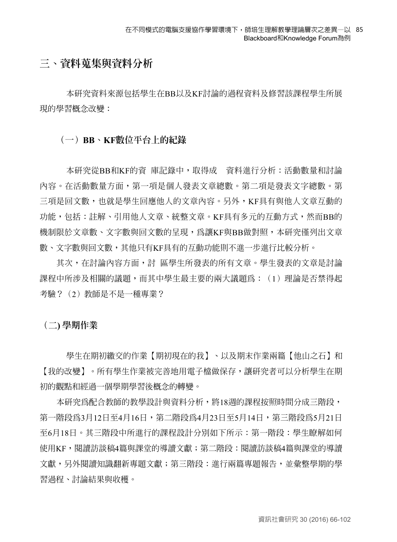## **三、資料蒐集與資料分析**

本研究資料來源包括學生在BB以及KF討論的過程資料及修習該課程學生所展 現的學習概念改變:

### **(一)BB、KF數位平台上的紀錄**

本研究從BB和KF的資 庫記錄中,取得成 資料進行分析:活動數量和討論 內容。在活動數量方面,第一項是個人發表文章總數。第二項是發表文字總數。第 三項是回文數,也就是學生回應他人的文章內容。另外,KF具有與他人文章互動的 功能,包括:註解、引用他人文章、統整文章。KF具有多元的互動方式,然而BB的 機制限於文章數、文字數與回文數的呈現,為讓KF與BB做對照,本研究僅列出文章 數、文字數與回文數,其他只有KF具有的互動功能則不進一步進行比較分析。

其次,在討論內容方面,討 區學生所發表的所有文章。學生發表的文章是討論 課程中所涉及相關的議題,而其中學生最主要的兩大議題為: (1) 理論是否禁得起 考驗?(2)教師是不是一種專業?

### **(二) 學期作業**

學生在期初繳交的作業【期初現在的我】、以及期末作業兩篇【他山之石】和 【我的改變】。所有學生作業被完善地用電子檔做保存,讓研究者可以分析學生在期 初的觀點和經過一個學期學習後概念的轉變。

本研究為配合教師的教學設計與資料分析,將18週的課程按照時間分成三階段, 第一階段為3月12日至4月16日,第二階段為4月23日至5月14日,第三階段為5月21日 至6月18日。其三階段中所進行的課程設計分別如下所示:第一階段:學生瞭解如何 使用KF,閱讀訪談稿4篇與課堂的導讀文獻;第二階段:閱讀訪談稿4篇與課堂的導讀 文獻,另外閱讀知識翻新專題文獻;第三階段:進行兩篇專題報告,並彙整學期的學 習過程、討論結果與收穫。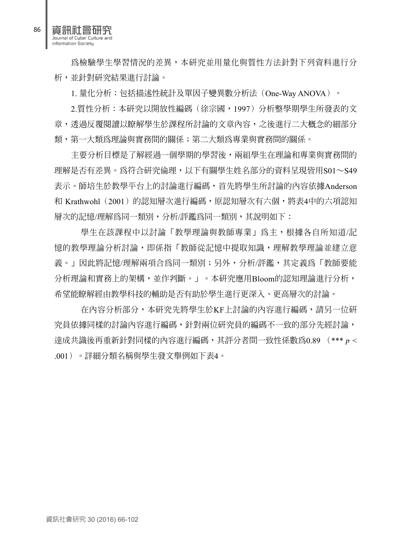資訊社會研究 Journal of Cyber Culture and Information Society

為檢驗學生學習情況的差異,本研究並用量化與質性方法針對下列資料進行分 析,並針對研究結果進行討論。

1. 量化分析:包括描述性統計及單因子變異數分析法(One-Way ANOVA)。

2.質性分析:本研究以開放性編碼(徐宗國,1997)分析整學期學生所發表的文 章,透過反覆閱讀以瞭解學生於課程所討論的文章內容,之後進行二大概念的細部分 類,第一大類為理論與實務間的關係;第二大類為專業與實務間的關係。

主要分析目標是了解經過一個學期的學習後,兩組學生在理論和專業與實務間的 理解是否有差異。為符合研究倫理,以下有關學生姓名部分的資料呈現皆用S01∼S49 表示。師培生於教學平台上的討論進行編碼,首先將學生所討論的內容依據Anderson 和 Krathwohl(2001)的認知層次進行編碼,原認知層次有六個,將表4中的六項認知 層次的記憶/理解為同一類別,分析/評鑑為同一類別,其說明如下:

學生在該課程中以討論「教學理論與教師專業」為主,根據各自所知道/記 憶的教學理論分析討論,即係指「教師從記憶中提取知識,理解教學理論並建立意 義。」因此將記憶/理解兩項合為同一類別;另外,分析/評鑑,其定義為「教師要能 分析理論和實務上的架構,並作判斷。」。本研究應用Bloom的認知理論進行分析, 希望能瞭解經由教學科技的輔助是否有助於學生進行更深入、更高層次的討論。

在內容分析部分,本研究先將學生於KF上討論的內容進行編碼,請另一位研 究員依據同樣的討論內容進行編碼,針對兩位研究員的編碼不一致的部分先經討論, 達成共識後再重新針對同樣的內容進行編碼,其評分者間一致性係數為0.89 (\*\*\* <sup>p</sup> < .001)。詳細分類名稱與學生發文舉例如下表4。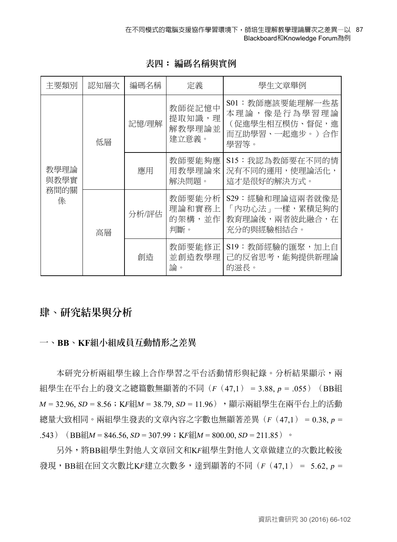| 主要類別                      | 認知層次 | 編碼名稱  | 定義                                  | 學生文章舉例                                                                       |
|---------------------------|------|-------|-------------------------------------|------------------------------------------------------------------------------|
| 教學理論<br>與教學實<br>務間的關<br>係 | 低層   | 記憶/理解 | 教師從記憶中<br>提取知識,理<br>解教學理論並<br>建立意義。 | S01: 教師應該要能理解一些基<br>本理論,像是行為學習理論<br>(促進學生相互模仿、督促,進<br>而互助學習、一起進步。)合作<br>學習等。 |
|                           |      | 應用    | 教師要能夠應<br>用教學理論來<br>解決問題。           | S15:我認為教師要在不同的情<br>況有不同的運用,使理論活化,<br>這才是很好的解決方式。                             |
|                           | 高層   | 分析/評估 | 教師要能分析<br>理論和實務上<br>的架構,並作<br>判斷。   | S29: 經驗和理論這兩者就像是<br>「內功心法 」 一樣,累積足夠的<br>教育理論後,兩者彼此融合,在<br>充分的與經驗相結合。         |
|                           |      | 創造    | 教師要能修正<br>並創造教學理<br>論。              | S19:教師經驗的匯聚,加上自<br>己的反省思考,能夠提供新理論<br>的滋長。                                    |

**表四: 編碼名稱與實例**

## **肆、研究結果與分析**

### **一、BB、KF組小組成員互動情形之差異**

本研究分析兩組學生線上合作學習之平台活動情形與紀錄。分析結果顯示,兩 組學生在平台上的發文之總篇數無顯著的不同 $(F(47,1)) = 3.88, p = .055)$  (BB組  $M = 32.96$ ,  $SD = 8.56$ ; KF組 $M = 38.79$ ,  $SD = 11.96$ ), 顯示兩組學生在兩平台上的活動 總量大致相同。兩組學生發表的文章內容之字數也無顯著差異(F(47,1) = 0.38, p = .543) (BB組 $M = 846.56$ ,  $SD = 307.99$ ; KF組 $M = 800.00$ ,  $SD = 211.85$ ) 。

另外,將BB組學生對他人文章回文和KF組學生對他人文章做建立的次數比較後 發現, BB組在回文次數比KF建立次數多, 達到顯著的不同( $F(47,1) = 5.62$ ,  $p =$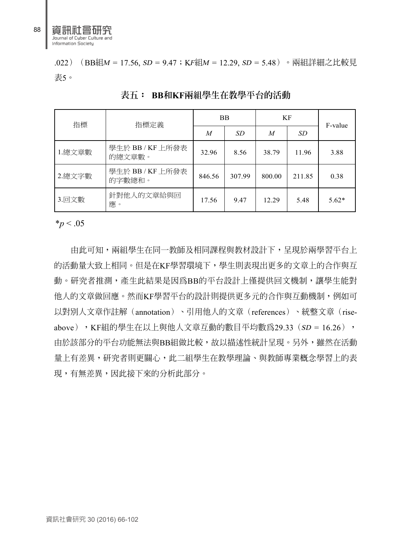.022) (BB組M = 17.56, SD = 9.47; KF組M = 12.29, SD = 5.48)。兩組詳細之比較見 表5。

| 指標      | 指標定義                       |        | <b>BB</b> | KF     | F-value |         |
|---------|----------------------------|--------|-----------|--------|---------|---------|
|         |                            |        | <b>SD</b> | M      | SD      |         |
| 1. 總文章數 | 學生於 BB / KF 上所發表<br>的總文章數。 | 32.96  | 8.56      | 38.79  | 11.96   | 3.88    |
| 2. 總文字數 | 學生於 BB / KF 上所發表<br>的字數總和。 | 846.56 | 307.99    | 800.00 | 211.85  | 0.38    |
| 3.回文數   | 針對他人的文章給與回<br>應。           | 17.56  | 9.47      | 12.29  | 5.48    | $5.62*$ |

**表五: BB和KF兩組學生在教學平台的活動**

 $*_{p}$  < .05

由此可知,兩組學生在同一教師及相同課程與教材設計下,呈現於兩學習平台上 的活動量大致上相同。但是在KF學習環境下,學生則表現出更多的文章上的合作與互 動。研究者推測,產生此結果是因為BB的平台設計上僅提供回文機制,讓學生能對 他人的文章做回應。然而KF學習平台的設計則提供更多元的合作與互動機制,例如可 以對別人文章作註解(annotation)、引用他人的文章(references)、統整文章(rise- $\rm_{above})$  ,KF組的學生在以上與他人文章互動的數目平均數為29.33(SD = 16.26), 由於該部分的平台功能無法與BB組做比較,故以描述性統計呈現。另外,雖然在活動 量上有差異,研究者則更關心,此二組學生在教學理論、與教師專業概念學習上的表 現,有無差異,因此接下來的分析此部分。

資訊社會研究 30 (2016) 66-102

88

資訊社會研究 Journal of Cyber Culture and Information Society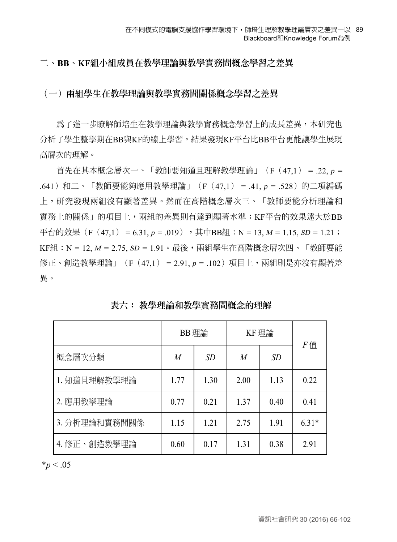#### **二、BB、KF組小組成員在教學理論與教學實務間概念學習之差異**

### **(一)兩組學生在教學理論與教學實務間關係概念學習之差異**

為了進一步瞭解師培生在教學理論與教學實務概念學習上的成長差異,本研究也 分析了學生整學期在BB與KF的線上學習。結果發現KF平台比BB平台更能讓學生展現 高層次的理解。

首先在其本概念層次一、「教師要知道且理解教學理論」(F(47,1) = .22, p = .641) 和二、「教師要能夠應用教學理論」 (F (47,1) = .41, p = .528) 的二項編碼 上,研究發現兩組沒有顯著差異。然而在高階概念層次三、「教師要能分析理論和 實務上的關係」的項目上,兩組的差異則有達到顯著水準;KF平台的效果遠大於BB 平台的效果(F(47,1) = 6.31,  $p = .019$ ),其中BB組:N = 13,  $M = 1.15$ ,  $SD = 1.21$ ; KF組:N = 12, *M* = 2.75, *SD* = 1.91。最後,兩組學生在高階概念層次四、「教師要能 修正、創造教學理論」(F(47.1) = 2.91, p = .102)項目上,兩組則是亦沒有顯著差 異。

|               | BB 理論          |           | KF理論           | F值        |         |
|---------------|----------------|-----------|----------------|-----------|---------|
| 概念層次分類        | $\overline{M}$ | <i>SD</i> | $\overline{M}$ | <i>SD</i> |         |
| 1. 知道且理解教學理論  | 1.77           | 1.30      | 2.00           | 1.13      | 0.22    |
| 2. 應用教學理論     | 0.77           | 0.21      | 1.37           | 0.40      | 0.41    |
| 3. 分析理論和實務間關係 | 1.15           | 1.21      | 2.75           | 1.91      | $6.31*$ |
| 4. 修正、創造教學理論  | 0.60           | 0.17      | 1.31           | 0.38      | 2.91    |

**表六: 教學理論和教學實務間概念的理解**

 $*_{p}$  < .05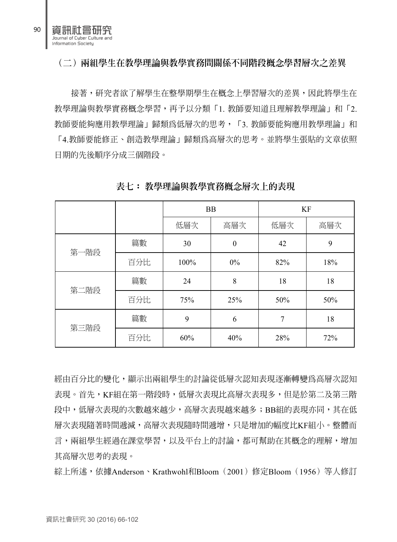

接著,研究者欲了解學生在整學期學生在概念上學習層次的差異,因此將學生在 教學理論與教學實務概念學習,再予以分類「1. 教師要知道且理解教學理論」和「2. 教師要能夠應用教學理論」歸類為低層次的思考,「3. 教師要能夠應用教學理論」和 「4.教師要能修正、創造教學理論」歸類為高層次的思考。並將學生張貼的文章依照 日期的先後順序分成三個階段。

|      |     |      | <b>BB</b> | KF  |     |  |  |
|------|-----|------|-----------|-----|-----|--|--|
|      |     | 低層次  | 高層次       | 低層次 | 高層次 |  |  |
| 第一階段 | 篇數  | 30   | $\theta$  | 42  | 9   |  |  |
|      | 百分比 | 100% | $0\%$     | 82% | 18% |  |  |
| 第二階段 | 篇數  | 24   | 8         | 18  | 18  |  |  |
|      | 百分比 | 75%  | 25%       | 50% | 50% |  |  |
| 第三階段 | 篇數  | 9    | 6         | 7   | 18  |  |  |
|      | 百分比 | 60%  | 40%       | 28% | 72% |  |  |

**表七: 教學理論與教學實務概念層次上的表現**

經由百分比的變化,顯示出兩組學生的討論從低層次認知表現逐漸轉變為高層次認知 表現。首先,KF組在第一階段時,低層次表現比高層次表現多,但是於第二及第三階 段中,低層次表現的次數越來越少,高層次表現越來越多;BB組的表現亦同,其在低 層次表現隨著時間遞減,高層次表現隨時間遞增,只是增加的幅度比KF組小。整體而 言,兩組學生經過在課堂學習,以及平台上的討論,都可幫助在其概念的理解,增加 其高層次思考的表現。

綜上所述,依據Anderson、Krathwohl和Bloom(2001)修定Bloom(1956)等人修訂

90

瓶槽研究 Journal of Cyber Culture and Information Society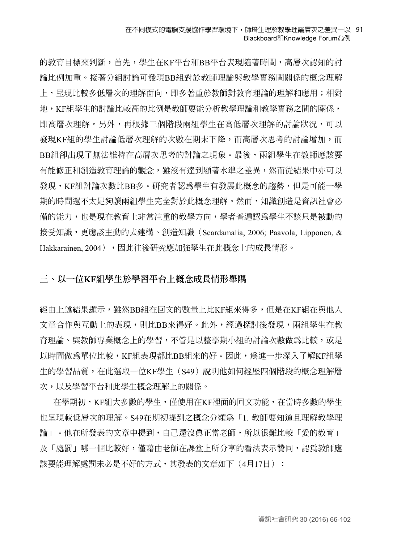的教育目標來判斷,首先,學生在KF平台和BB平台表現隨著時間,高層次認知的討 論比例加重。接著分組討論可發現BB組對於教師理論與教學實務間關係的概念理解 上,呈現比較多低層次的理解面向,即多著重於教師對教育理論的理解和應用;相對 地,KF組學生的討論比較高的比例是教師要能分析教學理論和教學實務之間的關係, 即高層次理解。另外,再根據三個階段兩組學生在高低層次理解的討論狀況,可以 發現KF組的學生討論低層次理解的次數在期末下降,而高層次思考的討論增加,而 BB組卻出現了無法維持在高層次思考的討論之現象。最後,兩組學生在教師應該要 有能修正和創造教育理論的觀念,雖沒有達到顯著水準之差異,然而從結果中亦可以 發現,KF組討論次數比BB多。研究者認為學生有發展此概念的趨勢,但是可能一學 期的時間還不太足夠讓兩組學生完全對於此概念理解。然而,知識創造是資訊社會必 備的能力,也是現在教育上非常注重的教學方向,學者普遍認為學生不該只是被動的 接受知識,更應該主動的去建構、創造知識(Scardamalia, 2006; Paavola, Lipponen, & Hakkarainen, 2004),因此往後研究應加強學生在此概念上的成長情形。

### **三、以一位KF組學生於學習平台上概念成長情形舉隅**

經由上述結果顯示,雖然BB組在回文的數量上比KF組來得多,但是在KF組在與他人 文章合作與互動上的表現,則比BB來得好。此外,經過探討後發現,兩組學生在教 育理論、與教師專業概念上的學習,不管是以整學期小組的討論次數做為比較,或是 以時間做為單位比較,KF組表現都比BB組來的好。因此,為進一步深入了解KF組學 生的學習品質,在此選取一位KF學生(S49)說明他如何經歷四個階段的概念理解層 次,以及學習平台和此學生概念理解上的關係。

 在學期初,KF組大多數的學生,僅使用在KF裡面的回文功能,在當時多數的學生 也呈現較低層次的理解。S49在期初提到之概念分類為「1. 教師要知道且理解教學理 論」。他在所發表的文章中提到,自己還沒真正當老師,所以很難比較「愛的教育」 及「處罰」哪一個比較好,僅藉由老師在課堂上所分享的看法表示贊同,認為教師應 該要能理解處罰未必是不好的方式,其發表的文章如下(4月17日):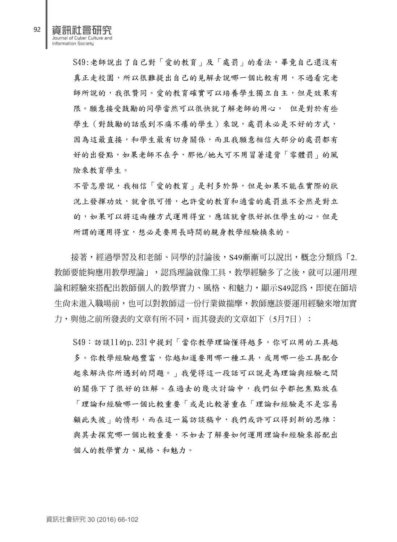航空所 Journal of Cyber Culture Information Society

> S49:老師說出了自己對「愛的教育」及「處罰」的看法,畢竟自己還沒有 真正走校園,所以很難提出自己的見解去說哪一個比較有用,不過看完老 師所說的,我很贊同。愛的教育確實可以培養學生獨立自主,但是效果有 限。願意接受鼓勵的同學當然可以很快就了解老師的用心, 但是對於有些 學生(對鼓勵的話感到不痛不癢的學生)來說,處罰未必是不好的方式, 因為這最直接,和學生最有切身關係,而且我願意相信大部分的處罰都有 好的出發點,如果老師不在乎,那他/她大可不用冒著違背「零體罰」的風 險來教育學生。

> 不管怎麼說,我相信「愛的教育」是利多於弊,但是如果不能在實際的狀 況上發揮功效,就會很可惜,也許愛的教育和適當的處罰並不全然是對立 的,如果可以將這兩種方式運用得宜,應該就會很好抓住學生的心。但是 所謂的運用得宜,想必是要用長時間的親身教學經驗換來的。

接著,經過學習及和老師、同學的討論後,S49漸漸可以說出,概念分類為「2. 教師要能夠應用教學理論」,認為理論就像工具,教學經驗多了之後,就可以運用理 論和經驗來搭配出教師個人的教學實力、風格、和魅力,顯示S49認為,即使在師培 生尚未進入職場前,也可以對教師這一份行業做揣摩,教師應該要運用經驗來增加實 力,與他之前所發表的文章有所不同,而其發表的文章如下(5月7日):

S49:訪談11的p.231中提到「當你教學理論懂得越多,你可以用的工具越 多。你教學經驗越嘗富,你越知道要用哪一種工具,或用哪一些工具配合 起來解決你所遇到的問題。」我覺得這一段話可以說是為理論與經驗之間 的關係下了很好的註解。在過去的幾次討論中,我們似乎都把焦點放在 「理論和經驗哪一個比較重要「或是比較著重在「理論和經驗是不是容易 顧此失彼 的情形,而在這一篇訪談稿中,我們或許可以得到新的思維: 與其去探究哪一個比較重要,不如去了解要如何運用理論和經驗來搭配出 個人的教學實力、風格、和魅力。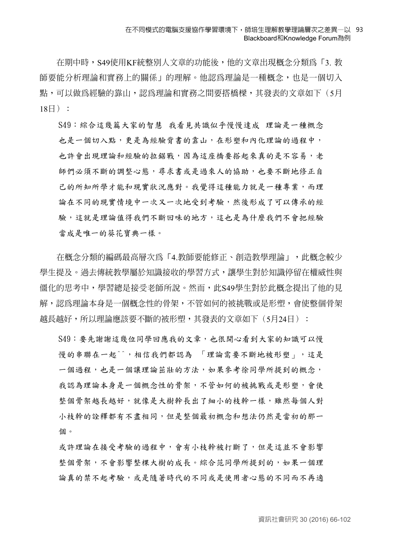在期中時,S49使用KF統整別人文章的功能後,他的文章出現概念分類為「3. 教 師要能分析理論和實務上的關係」的理解。他認為理論是一種概念,也是一個切入 點,可以做為經驗的靠山,認為理論和實務之間要搭橋樑,其發表的文章如下(5月  $18 \boxminus$ ):

S49:綜合這幾篇大家的智慧 我看見共識似乎慢慢達成 理論是一種概念 也是一個切入點,更是為經驗背書的靠山,在形塑和內化理論的過程中, 也許會出現理論和經驗的拉鋸戰,因為這座橋要搭起來真的是不容易,老 師們必須不斷的調整心態,尋求書或是過來人的協助,也要不斷地修正自 己的所知所學才能和現實狀況應對。我覺得這種能力就是一種專業,而理 論在不同的現實情境中一次又一次地受到考驗,然後形成了可以傳承的經 驗,這就是理論值得我們不斷回味的地方,這也是為什麼我們不會把經驗 當成是唯一的葵花寶典一樣。

在概念分類的編碼最高層次為「4.教師要能修正、創造教學理論」,此概念較少 學生提及。過去傳統教學屬於知識接收的學習方式,讓學生對於知識停留在權威性與 僵化的思考中,學習總是接受老師所說。然而,此S49學生對於此概念提出了他的見 解,認為理論本身是一個概念性的骨架,不管如何的被挑戰或是形塑,會使整個骨架 越長越好,所以理論應該要不斷的被形塑,其發表的文章如下(5月24日):

S49: 要先謝謝這幾位同學回應我的文章,也很開心看到大家的知識可以慢 慢的串聯在一起^^,相信我們都認為 「理論需要不斷地被形塑」,這是 一個過程,也是一個讓理論茁壯的方法,如果參考徐同學所提到的概念, 我認為理論本身是一個概念性的骨架,不管如何的被挑戰或是形塑,會使 整個骨架越長越好,就像是大樹幹長出了細小的枝幹一樣,雖然每個人對 小枝幹的詮釋都有不盡相同,但是整個最初概念和想法仍然是當初的那一 個。

或許理論在接受考驗的過程中,會有小枝幹被打斷了,但是這並不會影響 整個骨架,不會影響整棵大樹的成長。綜合范同學所提到的,如果一個理 論真的禁不起考驗,或是隨著時代的不同或是使用者心態的不同而不再適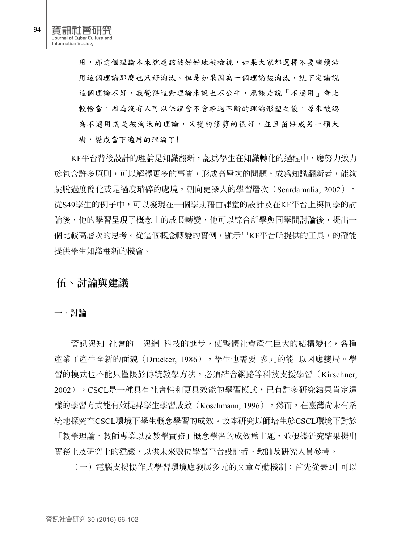航道研究 Journal of Cyber Culture and Information Society

> 用,那這個理論本來就應該被好好地被檢視,如果大家都選擇不要繼續沿 用這個理論那麼也只好淘汰。但是如果因為一個理論被淘汰,就下定論說 這個理論不好,我覺得這對理論來說也不公平,應該是說「不適用」會比 較恰當,因為沒有人可以保證會不會經過不斷的理論形塑之後,原來被認 為不適用或是被淘汰的理論,又變的修剪的很好,並且茁壯成另一顆大 樹,變成當下適用的理論了!

KF平台背後設計的理論是知識翻新,認為學生在知識轉化的過程中,應努力致力 於包含許多原則,可以解釋更多的事實,形成高層次的問題,成為知識翻新者,能夠 跳脫過度簡化或是過度瑣碎的處境,朝向更深入的學習層次(Scardamalia, 2002)。 從S49學生的例子中,可以發現在一個學期藉由課堂的設計及在KF平台上與同學的討 論後,他的學習呈現了概念上的成長轉變,他可以綜合所學與同學間討論後,提出一 個比較高層次的思考。從這個概念轉變的實例,顯示出KF平台所提供的工具,的確能 提供學生知識翻新的機會。

## **伍、討論與建議**

#### **一、討論**

資訊與知 社會的 與網 科技的進步,使整體社會產生巨大的結構變化,各種 產業了產生全新的面貌(Drucker, 1986),學生也需要 多元的能 以因應變局。學 習的模式也不能只僅限於傳統教學方法,必須結合網路等科技支援學習(Kirschner, 2002)。CSCL是一種具有社會性和更具效能的學習模式,已有許多研究結果肯定這 樣的學習方式能有效提昇學生學習成效(Koschmann, 1996)。然而,在臺灣尚未有系 統地探究在CSCL環境下學生概念學習的成效。故本研究以師培生於CSCL環境下對於

「教學理論、教師專業以及教學實務」概念學習的成效為主題,並根據研究結果提出 實務上及研究上的建議,以供未來數位學習平台設計者、教師及研究人員參考。

(一)電腦支援協作式學習環境應發展多元的文章互動機制:首先從表2中可以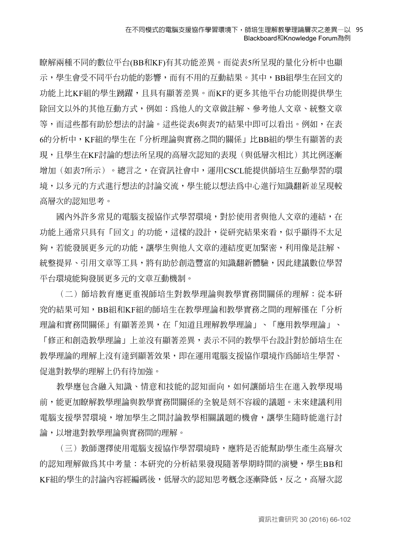瞭解兩種不同的數位平台(BB和KF)有其功能差異。而從表5所呈現的量化分析中也顯 示,學生會受不同平台功能的影響,而有不用的互動結果。其中,BB組學生在回文的 功能上比KF組的學生踴躍,且具有顯著差異。而KF的更多其他平台功能則提供學生 除回文以外的其他互動方式,例如:為他人的文章做註解、參考他人文章、統整文章 等,而這些都有助於想法的討論。這些從表6與表7的結果中即可以看出。例如,在表 6的分析中,KF組的學生在「分析理論與實務之間的關係」比BB組的學生有顯著的表 現,且學生在KF討論的想法所呈現的高層次認知的表現(與低層次相比)其比例逐漸 增加(如表7所示)。總言之,在資訊社會中,運用CSCL能提供師培生互動學習的環 境,以多元的方式進行想法的討論交流,學生能以想法為中心進行知識翻新並呈現較 高層次的認知思考。

國內外許多常見的電腦支援協作式學習環境,對於使用者與他人文章的連結,在 功能上通常只具有「回文」的功能,這樣的設計,從研究結果來看,似乎顯得不太足 夠,若能發展更多元的功能,讓學生與他人文章的連結度更加緊密,利用像是註解、 統整提昇、引用文章等工具,將有助於創造豐富的知識翻新體驗,因此建議數位學習 平台環境能夠發展更多元的文章互動機制。

(二)師培教育應更重視師培生對教學理論與教學實務間關係的理解:從本研 究的結果可知,BB組和KF組的師培生在教學理論和教學實務之間的理解僅在「分析 理論和實務間關係」有顯著差異,在「知道且理解教學理論」、「應用教學理論」、 「修正和創造教學理論」上並沒有顯著差異,表示不同的教學平台設計對於師培生在 教學理論的理解上沒有達到顯著效果,即在運用電腦支援協作環境作為師培生學習、 促進對教學的理解上仍有待加強。

教學應包含融入知識、情意和技能的認知面向,如何讓師培生在進入教學現場 前,能更加瞭解教學理論與教學實務間關係的全貌是刻不容緩的議題。未來建議利用 電腦支援學習環境,增加學生之間討論教學相關議題的機會,讓學生隨時能進行討 論,以增進對教學理論與實務間的理解。

(三)教師選擇使用電腦支援協作學習環境時,應將是否能幫助學生產生高層次 的認知理解做為其中考量:本研究的分析結果發現隨著學期時間的演變,學生BB和 KF組的學生的討論內容經編碼後,低層次的認知思考概念逐漸降低,反之,高層次認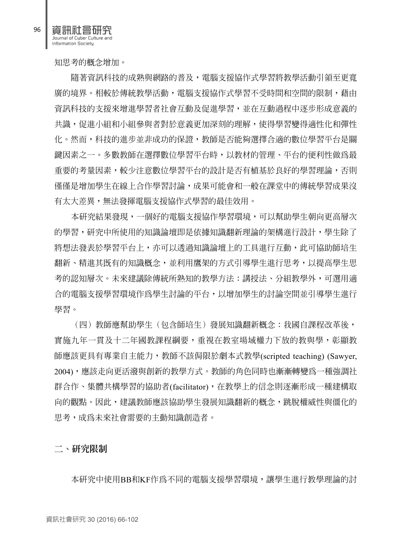資訊社會研究 Journal of Cyber Culture and Information Society

知思考的概念增加。

隨著資訊科技的成熟與網路的普及,電腦支援協作式學習將教學活動引領至更寬 庸的境界。相較於傳統教學活動,雷腦支援協作式學習不受時間和空間的限制,藉由 資訊科技的支援來增進學習者社會互動及促進學習,並在互動過程中逐步形成意義的 共識,促進小組和小組參與者對於意義更加深刻的理解,使得學習變得適性化和彈性 化。然而,科技的進步並非成功的保證,教師是否能夠選擇合適的數位學習平台是關 鍵因素之一。多數教師在選擇數位學習平台時,以教材的管理、平台的便利性做為最 重要的考量因素,較少注意數位學習平台的設計是否有植基於良好的學習理論,否則 僅僅是增加學生在線上合作學習討論,成果可能會和一般在課堂中的傳統學習成果沒 有太大差異,無法發揮電腦支援協作式學習的最佳效用。

本研究結果發現,一個好的電腦支援協作學習環境,可以幫助學生朝向更高層次 的學習,研究中所使用的知識論壇即是依據知識翻新理論的架構進行設計,學生除了 將想法發表於學習平台上,亦可以透過知識論壇上的工具進行互動,此可協助師培生 翻新、精進其既有的知識概念,並利用鷹架的方式引導學生進行思考,以提高學生思 考的認知層次。未來建議除傳統所熟知的教學方法:講授法、分組教學外,可選用適 合的電腦支援學習環境作為學生討論的平台,以增加學生的討論空間並引導學生進行 學習。

(四)教師應幫助學生(包含師培生)發展知識翻新概念:我國自課程改革後, 實施九年一貫及十二年國教課程綱要,重視在教室場域權力下放的教與學,彰顯教 師應該更具有專業自主能力,教師不該侷限於劇本式教學(scripted teaching) (Sawyer, 2004),應該走向更活潑與創新的教學方式。教師的角色同時也漸漸轉變為一種強調社 群合作、集體共構學習的協助者(facilitator),在教學上的信念則逐漸形成一種建構取 向的觀點。因此,建議教師應該協助學生發展知識翻新的概念,跳脫權威性與僵化的 思考,成為未來社會需要的主動知識創造者。

**二、研究限制**

本研究中使用BB和KF作為不同的電腦支援學習環境,讓學生進行教學理論的討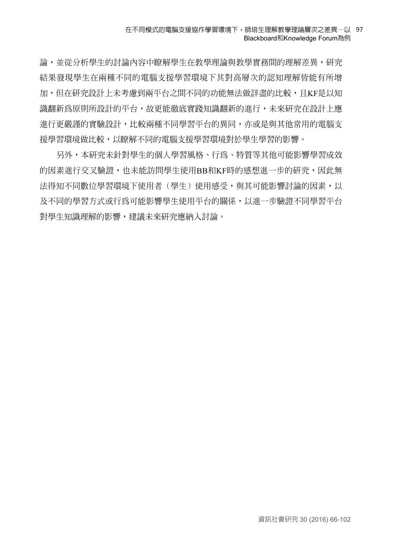#### 在不同模式的電腦支援協作學習環境下,師培生理解教學理論層次之差異—以 97 Blackboard和Knowledge Forum為例

論,並從分析學生的討論內容中瞭解學生在教學理論與教學實務間的理解差異,研究 結果發現學生在兩種不同的電腦支援學習環境下其對高層次的認知理解皆能有所增 加,但在研究設計上未考慮到兩平台之間不同的功能無法做詳盡的比較,且KF是以知 識翻新為原則所設計的平台,故更能徹底實踐知識翻新的進行,未來研究在設計上應 進行更嚴謹的實驗設計,比較兩種不同學習平台的異同,亦或是與其他常用的電腦支 援學習環境做比較,以瞭解不同的電腦支援學習環境對於學生學習的影響。

另外,本研究未針對學生的個人學習風格、行為、特質等其他可能影響學習成效 的因素進行交叉驗證,也未能訪問學生使用BB和KF時的感想進一步的研究,因此無 法得知不同數位學習環境下使用者(學生)使用感受,與其可能影響討論的因素,以 及不同的學習方式或行為可能影響學生使用平台的關係,以進一步驗證不同學習平台 對學生知識理解的影響,建議未來研究應納入討論。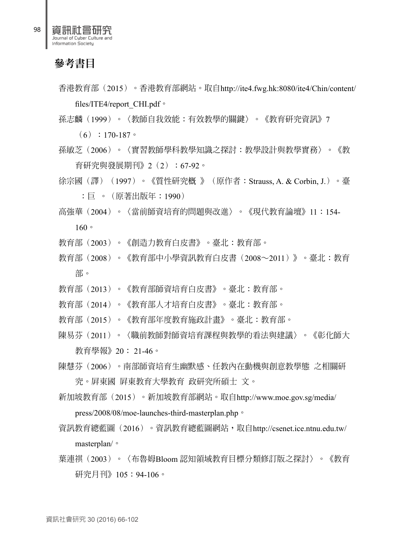資訊社會研究 Journal of Cyber Culture Information Society

# 參考書目

香港教育部(2015)。香港教育部網站。取自http://ite4.fwg.hk:8080/ite4/Chin/content/ files/ITE4/report\_CHI.pdf。 孫志麟(1999)。〈教師自我效能:有效教學的關鍵〉。《教育研究資訊》7  $(6):170-187$ 孫敏芝(2006)。〈實習教師學科教學知識之探討:教學設計與教學實務〉。《教 育研究與發展期刊》2(2):67-92。 徐宗國(譯) (1997) 。《質性研究概 》(原作者: Strauss, A. & Corbin, J.) 。臺 :巨 。(原著出版年:1990) 高強華(2004)。〈當前師資培育的問題與改進〉。《現代教育論壇》11:154- 160。 教育部(2003)。《創造力教育白皮書》。臺北:教育部。 教育部(2008)。《教育部中小學資訊教育白皮書(2008∼2011)》。臺北:教育 部。 教育部(2013)。《教育部師資培育白皮書》。臺北:教育部。 教育部(2014)。《教育部人才培育白皮書》。臺北:教育部。 教育部(2015)。《教育部年度教育施政計畫》。臺北:教育部。 陳易芬(2011)。〈職前教師對師資培育課程與教學的看法與建議〉。《彰化師大 教育學報》20: 21-46。 陳慧芬(2006)。南部師資培育生幽默感、任教內在動機與創意教學態 之相關研 究。屏東國 屏東教育大學教育 政研究所碩士 文。 新加坡教育部(2015)。新加坡教育部網站。取自http://www.moe.gov.sg/media/ press/2008/08/moe-launches-third-masterplan.php。 資訊教育總藍圖(2016)。資訊教育總藍圖網站,取自http://csenet.ice.ntnu.edu.tw/ masterplan/。 葉連祺 (2003) 。〈布魯姆Bloom 認知領域教育目標分類修訂版之探討〉。《教育 研究月刊》105:94-106。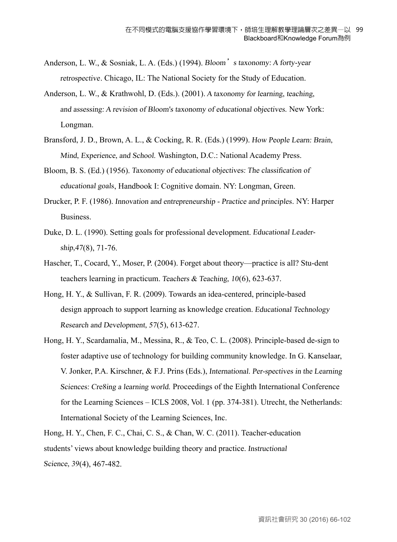- Anderson, L. W., & Sosniak, L. A. (Eds.) (1994). Bloom's taxonomy: A forty-year retrospective. Chicago, IL: The National Society for the Study of Education.
- Anderson, L. W., & Krathwohl, D. (Eds.). (2001). <sup>A</sup> taxonomy for learning, teaching, and assessing: <sup>A</sup> revision of Bloom's taxonomy of educational objectives. New York: Longman.
- Bransford, J. D., Brown, A. L., & Cocking, R. R. (Eds.) (1999). How People Learn: Brain, Mind, Experience, and School. Washington, D.C.: National Academy Press.
- Bloom, B. S. (Ed.) (1956). Taxonomy of educational objectives: The classifcation of educational goals, Handbook I: Cognitive domain. NY: Longman, Green.
- Drucker, P. F. (1986). Innovation and entrepreneurship Practice and principles. NY: Harper Business.
- Duke, D. L. (1990). Setting goals for professional development. Educational Leadership,47(8), 71-76.
- Hascher, T., Cocard, Y., Moser, P. (2004). Forget about theory—practice is all? Stu-dent teachers learning in practicum. Teachers & Teaching, <sup>10</sup>(6), 623-637.
- Hong, H. Y., & Sullivan, F. R. (2009). Towards an idea-centered, principle-based design approach to support learning as knowledge creation. Educational Technology Research and Development, <sup>57</sup>(5), 613-627.
- Hong, H. Y., Scardamalia, M., Messina, R., & Teo, C. L. (2008). Principle-based de-sign to foster adaptive use of technology for building community knowledge. In G. Kanselaar, V. Jonker, P.A. Kirschner, & F.J. Prins (Eds.), International. Per-spectives in the Learning Sciences: Cre8ing <sup>a</sup> learning world. Proceedings of the Eighth International Conference for the Learning Sciences – ICLS 2008, Vol. 1 (pp. 374-381). Utrecht, the Netherlands: International Society of the Learning Sciences, Inc.

Hong, H. Y., Chen, F. C., Chai, C. S., & Chan, W. C. (2011). Teacher-education students' views about knowledge building theory and practice. Instructional Science, <sup>39</sup>(4), 467-482.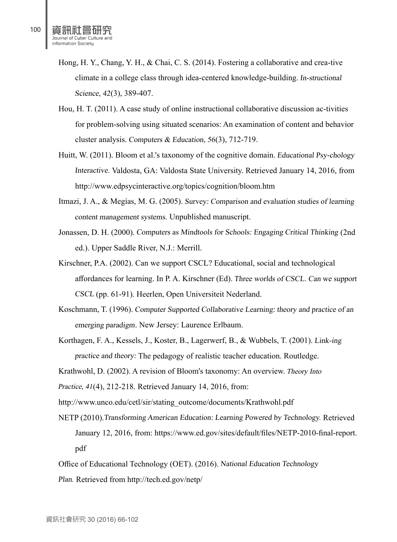- Hong, H. Y., Chang, Y. H., & Chai, C. S. (2014). Fostering a collaborative and crea-tive climate in a college class through idea-centered knowledge-building. In-structional Science, <sup>42</sup>(3), 389-407.
- Hou, H. T. (2011). A case study of online instructional collaborative discussion ac-tivities for problem-solving using situated scenarios: An examination of content and behavior cluster analysis. Computers & Education, <sup>56</sup>(3), 712-719.
- Huitt, W. (2011). Bloom et al.'s taxonomy of the cognitive domain. Educational Psy-chology Interactive. Valdosta, GA: Valdosta State University. Retrieved January 14, 2016, from http://www.edpsycinteractive.org/topics/cognition/bloom.htm
- Itmazi, J. A., & Megías, M. G. (2005). Survey: Comparison and evaluation studies of learning content management systems. Unpublished manuscript.
- Jonassen, D. H. (2000). Computers as Mindtools for Schools: Engaging Critical Thinking (2nd ed.). Upper Saddle River, N.J.: Merrill.
- Kirschner, P.A. (2002). Can we support CSCL? Educational, social and technological affordances for learning. In P. A. Kirschner (Ed). Three worlds of CSCL. Can we support CSCL (pp. 61-91). Heerlen, Open Universiteit Nederland.
- Koschmann, T. (1996). Computer Supported Collaborative Learning: theory and practice of an emerging paradigm. New Jersey: Laurence Erlbaum.
- Korthagen, F. A., Kessels, J., Koster, B., Lagerwerf, B., & Wubbels, T. (2001). Link-ing practice and theory: The pedagogy of realistic teacher education. Routledge.
- Krathwohl, D. (2002). A revision of Bloom's taxonomy: An overview. Theory Into
- Practice, <sup>41</sup>(4), 212-218. Retrieved January 14, 2016, from:
- http://www.unco.edu/cetl/sir/stating\_outcome/documents/Krathwohl.pdf
- NETP (2010).Transforming American Education: Learning Powered by Technology. Retrieved January 12, 2016, from: https://www.ed.gov/sites/default/files/NETP-2010-final-report. pdf

Office of Educational Technology (OET). (2016). National Education Technology

Plan. Retrieved from http://tech.ed.gov/netp/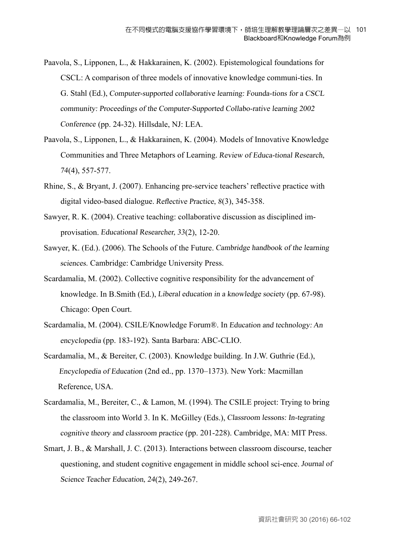- Paavola, S., Lipponen, L., & Hakkarainen, K. (2002). Epistemological foundations for CSCL: A comparison of three models of innovative knowledge communi-ties. In G. Stahl (Ed.), Computer-supported collaborative learning: Founda-tions for <sup>a</sup> CSCL community: Proceedings of the Computer-Supported Collabo-rative learning 2002 Conference (pp. 24-32). Hillsdale, NJ: LEA.
- Paavola, S., Lipponen, L., & Hakkarainen, K. (2004). Models of Innovative Knowledge Communities and Three Metaphors of Learning. Review of Educa-tional Research, <sup>74</sup>(4), 557-577.
- Rhine, S., & Bryant, J. (2007). Enhancing pre‐service teachers' reflective practice with digital video‐based dialogue. Refective Practice, <sup>8</sup>(3), 345-358.
- Sawyer, R. K. (2004). Creative teaching: collaborative discussion as disciplined improvisation. Educational Researcher, <sup>33</sup>(2), 12-20.
- Sawyer, K. (Ed.). (2006). The Schools of the Future. Cambridge handbook of the learning sciences. Cambridge: Cambridge University Press.
- Scardamalia, M. (2002). Collective cognitive responsibility for the advancement of knowledge. In B.Smith (Ed.), Liberal education in <sup>a</sup> knowledge society (pp. 67-98). Chicago: Open Court.
- Scardamalia, M. (2004). CSILE/Knowledge Forum®. In Education and technology: An encyclopedia (pp. 183-192). Santa Barbara: ABC-CLIO.
- Scardamalia, M., & Bereiter, C. (2003). Knowledge building. In J.W. Guthrie (Ed.), Encyclopedia of Education (2nd ed., pp. 1370–1373). New York: Macmillan Reference, USA.
- Scardamalia, M., Bereiter, C., & Lamon, M. (1994). The CSILE project: Trying to bring the classroom into World 3. In K. McGilley (Eds.), Classroom lessons: In-tegrating cognitive theory and classroom practice (pp. 201-228). Cambridge, MA: MIT Press.
- Smart, J. B., & Marshall, J. C. (2013). Interactions between classroom discourse, teacher questioning, and student cognitive engagement in middle school sci-ence. Journal of Science Teacher Education, <sup>24</sup>(2), 249-267.